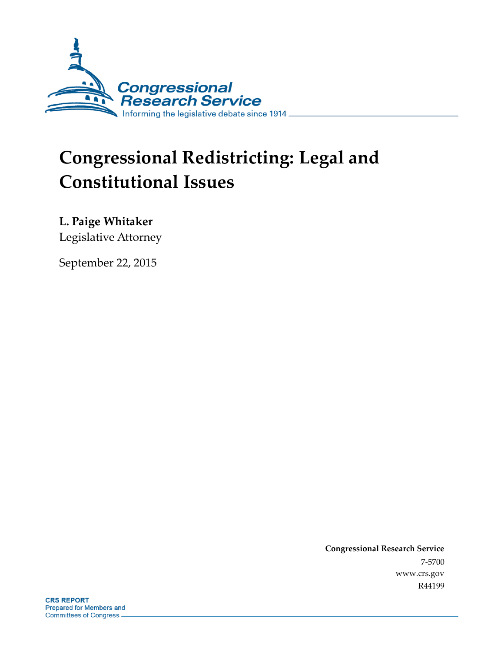

# **Congressional Redistricting: Legal and Constitutional Issues**

**L. Paige Whitaker**

Legislative Attorney

September 22, 2015

**Congressional Research Service** 7-5700 www.crs.gov R44199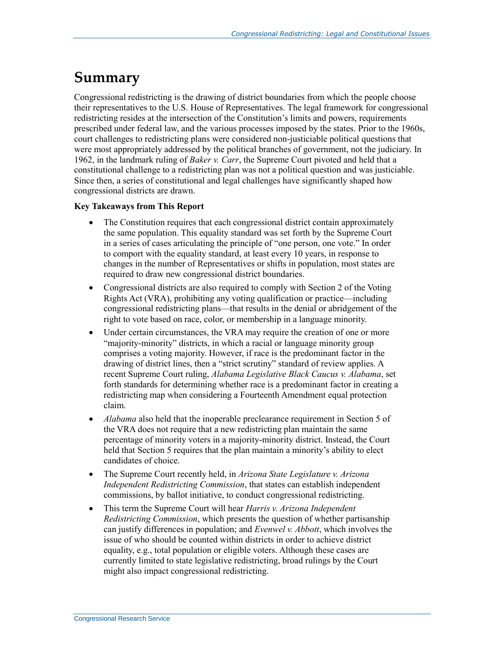# **Summary**

Congressional redistricting is the drawing of district boundaries from which the people choose their representatives to the U.S. House of Representatives. The legal framework for congressional redistricting resides at the intersection of the Constitution's limits and powers, requirements prescribed under federal law, and the various processes imposed by the states. Prior to the 1960s, court challenges to redistricting plans were considered non-justiciable political questions that were most appropriately addressed by the political branches of government, not the judiciary. In 1962, in the landmark ruling of *Baker v. Carr*, the Supreme Court pivoted and held that a constitutional challenge to a redistricting plan was not a political question and was justiciable. Since then, a series of constitutional and legal challenges have significantly shaped how congressional districts are drawn.

#### **Key Takeaways from This Report**

- The Constitution requires that each congressional district contain approximately the same population. This equality standard was set forth by the Supreme Court in a series of cases articulating the principle of "one person, one vote." In order to comport with the equality standard, at least every 10 years, in response to changes in the number of Representatives or shifts in population, most states are required to draw new congressional district boundaries.
- Congressional districts are also required to comply with Section 2 of the Voting Rights Act (VRA), prohibiting any voting qualification or practice—including congressional redistricting plans—that results in the denial or abridgement of the right to vote based on race, color, or membership in a language minority.
- Under certain circumstances, the VRA may require the creation of one or more "majority-minority" districts, in which a racial or language minority group comprises a voting majority. However, if race is the predominant factor in the drawing of district lines, then a "strict scrutiny" standard of review applies. A recent Supreme Court ruling, *Alabama Legislative Black Caucus v. Alabama*, set forth standards for determining whether race is a predominant factor in creating a redistricting map when considering a Fourteenth Amendment equal protection claim.
- *Alabama* also held that the inoperable preclearance requirement in Section 5 of the VRA does not require that a new redistricting plan maintain the same percentage of minority voters in a majority-minority district. Instead, the Court held that Section 5 requires that the plan maintain a minority's ability to elect candidates of choice.
- The Supreme Court recently held, in *Arizona State Legislature v. Arizona Independent Redistricting Commission*, that states can establish independent commissions, by ballot initiative, to conduct congressional redistricting.
- This term the Supreme Court will hear *Harris v. Arizona Independent Redistricting Commission*, which presents the question of whether partisanship can justify differences in population; and *Evenwel v. Abbott*, which involves the issue of who should be counted within districts in order to achieve district equality, e.g., total population or eligible voters. Although these cases are currently limited to state legislative redistricting, broad rulings by the Court might also impact congressional redistricting.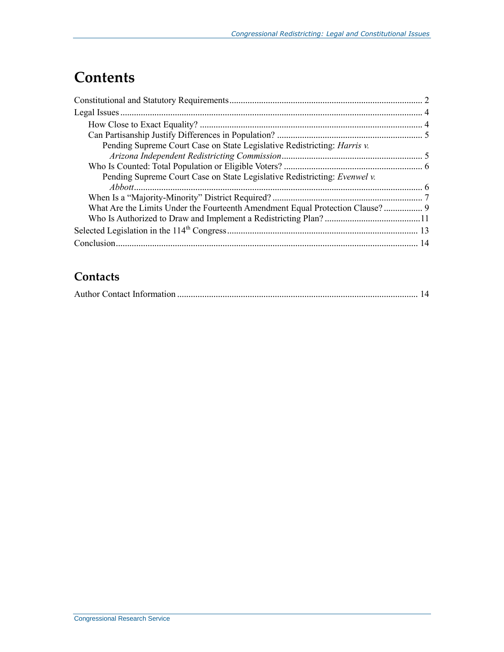# **Contents**

| Pending Supreme Court Case on State Legislative Redistricting: <i>Harris v.</i> |  |
|---------------------------------------------------------------------------------|--|
|                                                                                 |  |
|                                                                                 |  |
| Pending Supreme Court Case on State Legislative Redistricting: Evenwel v.       |  |
|                                                                                 |  |
|                                                                                 |  |
| What Are the Limits Under the Fourteenth Amendment Equal Protection Clause? 9   |  |
|                                                                                 |  |
|                                                                                 |  |
|                                                                                 |  |

# **Contacts**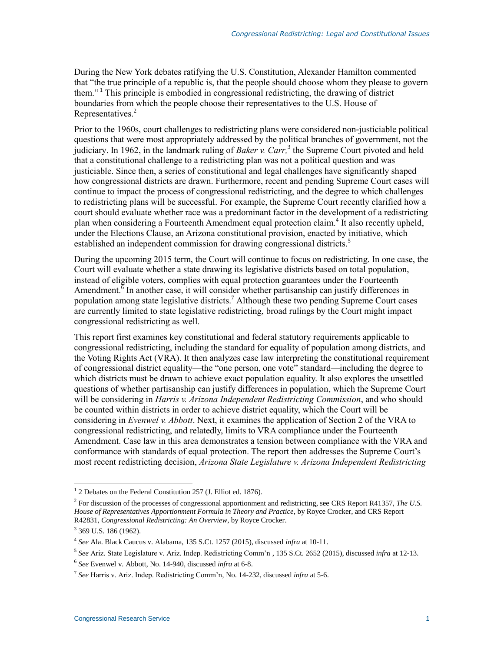During the New York debates ratifying the U.S. Constitution, Alexander Hamilton commented that "the true principle of a republic is, that the people should choose whom they please to govern them."  $\frac{1}{1}$  This principle is embodied in congressional redistricting, the drawing of district boundaries from which the people choose their representatives to the U.S. House of Representatives.<sup>2</sup>

Prior to the 1960s, court challenges to redistricting plans were considered non-justiciable political questions that were most appropriately addressed by the political branches of government, not the judiciary. In 1962, in the landmark ruling of *Baker v. Carr,* 3 the Supreme Court pivoted and held that a constitutional challenge to a redistricting plan was not a political question and was justiciable. Since then, a series of constitutional and legal challenges have significantly shaped how congressional districts are drawn. Furthermore, recent and pending Supreme Court cases will continue to impact the process of congressional redistricting, and the degree to which challenges to redistricting plans will be successful. For example, the Supreme Court recently clarified how a court should evaluate whether race was a predominant factor in the development of a redistricting plan when considering a Fourteenth Amendment equal protection claim.<sup>4</sup> It also recently upheld, under the Elections Clause, an Arizona constitutional provision, enacted by initiative, which established an independent commission for drawing congressional districts.<sup>5</sup>

During the upcoming 2015 term, the Court will continue to focus on redistricting. In one case, the Court will evaluate whether a state drawing its legislative districts based on total population, instead of eligible voters, complies with equal protection guarantees under the Fourteenth Amendment.<sup> $\overline{6}$ </sup> In another case, it will consider whether partisanship can justify differences in population among state legislative districts.<sup>7</sup> Although these two pending Supreme Court cases are currently limited to state legislative redistricting, broad rulings by the Court might impact congressional redistricting as well.

This report first examines key constitutional and federal statutory requirements applicable to congressional redistricting, including the standard for equality of population among districts, and the Voting Rights Act (VRA). It then analyzes case law interpreting the constitutional requirement of congressional district equality—the "one person, one vote" standard—including the degree to which districts must be drawn to achieve exact population equality. It also explores the unsettled questions of whether partisanship can justify differences in population, which the Supreme Court will be considering in *Harris v. Arizona Independent Redistricting Commission*, and who should be counted within districts in order to achieve district equality, which the Court will be considering in *Evenwel v. Abbott*. Next, it examines the application of Section 2 of the VRA to congressional redistricting, and relatedly, limits to VRA compliance under the Fourteenth Amendment. Case law in this area demonstrates a tension between compliance with the VRA and conformance with standards of equal protection. The report then addresses the Supreme Court's most recent redistricting decision, *Arizona State Legislature v. Arizona Independent Redistricting* 

<sup>&</sup>lt;sup>1</sup> 2 Debates on the Federal Constitution 257 (J. Elliot ed. 1876).

<sup>2</sup> For discussion of the processes of congressional apportionment and redistricting, see CRS Report R41357, *The U.S. House of Representatives Apportionment Formula in Theory and Practice*, by Royce Crocker, and CRS Report R42831, *Congressional Redistricting: An Overview*, by Royce Crocker.

<sup>&</sup>lt;sup>3</sup> 369 U.S. 186 (1962).

<sup>4</sup> *See* Ala. Black Caucus v. Alabama, 135 S.Ct. 1257 (2015), discussed *infra* at 10-11.

<sup>5</sup> *See* Ariz. State Legislature v. Ariz. Indep. Redistricting Comm'n , 135 S.Ct. 2652 (2015), discussed *infra* at 12-13.

<sup>6</sup> *See* Evenwel v. Abbott, No. 14-940, discussed *infra* at 6-8.

<sup>7</sup> *See* Harris v. Ariz. Indep. Redistricting Comm'n, No. 14-232, discussed *infra* at 5-6.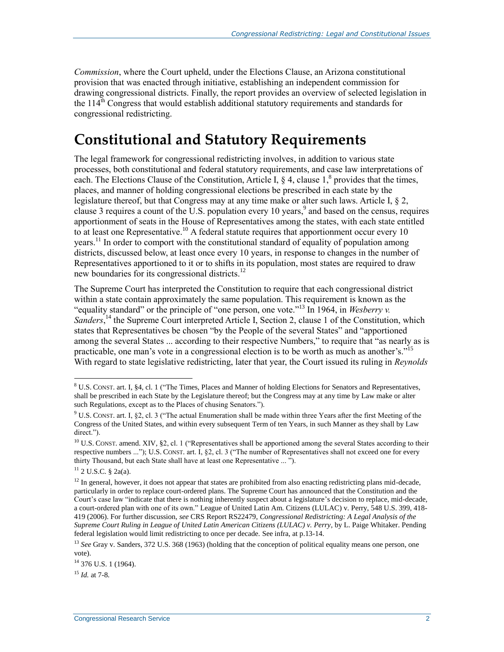*Commission*, where the Court upheld, under the Elections Clause, an Arizona constitutional provision that was enacted through initiative, establishing an independent commission for drawing congressional districts. Finally, the report provides an overview of selected legislation in the  $114<sup>th</sup>$  Congress that would establish additional statutory requirements and standards for congressional redistricting.

# **Constitutional and Statutory Requirements**

The legal framework for congressional redistricting involves, in addition to various state processes, both constitutional and federal statutory requirements, and case law interpretations of each. The Elections Clause of the Constitution, Article I,  $\S$  4, clause 1,<sup>8</sup> provides that the times, places, and manner of holding congressional elections be prescribed in each state by the legislature thereof, but that Congress may at any time make or alter such laws. Article I, § 2, clause 3 requires a count of the U.S. population every 10 years, 9 and based on the census, requires apportionment of seats in the House of Representatives among the states, with each state entitled to at least one Representative.<sup>10</sup> A federal statute requires that apportionment occur every 10 years.<sup>11</sup> In order to comport with the constitutional standard of equality of population among districts, discussed below, at least once every 10 years, in response to changes in the number of Representatives apportioned to it or to shifts in its population, most states are required to draw new boundaries for its congressional districts.<sup>12</sup>

The Supreme Court has interpreted the Constitution to require that each congressional district within a state contain approximately the same population. This requirement is known as the "equality standard" or the principle of "one person, one vote."<sup>13</sup> In 1964, in *Wesberry v.*  Sanders,<sup>14</sup> the Supreme Court interpreted Article I, Section 2, clause 1 of the Constitution, which states that Representatives be chosen "by the People of the several States" and "apportioned among the several States ... according to their respective Numbers," to require that "as nearly as is practicable, one man's vote in a congressional election is to be worth as much as another's."<sup>15</sup> With regard to state legislative redistricting, later that year, the Court issued its ruling in *Reynolds* 

 $\overline{a}$ 

<sup>15</sup> *Id.* at 7-8.

 $8$  U.S. CONST. art. I, §4, cl. 1 ("The Times, Places and Manner of holding Elections for Senators and Representatives, shall be prescribed in each State by the Legislature thereof; but the Congress may at any time by Law make or alter such Regulations, except as to the Places of chusing Senators.").

<sup>&</sup>lt;sup>9</sup> U.S. CONST. art. I, §2, cl. 3 ("The actual Enumeration shall be made within three Years after the first Meeting of the Congress of the United States, and within every subsequent Term of ten Years, in such Manner as they shall by Law direct.").

<sup>&</sup>lt;sup>10</sup> U.S. CONST. amend. XIV, §2, cl. 1 ("Representatives shall be apportioned among the several States according to their respective numbers ..."); U.S. CONST. art. I, §2, cl. 3 ("The number of Representatives shall not exceed one for every thirty Thousand, but each State shall have at least one Representative ... ").

<sup>11</sup> 2 U.S.C. § 2a(a).

 $12$  In general, however, it does not appear that states are prohibited from also enacting redistricting plans mid-decade, particularly in order to replace court-ordered plans. The Supreme Court has announced that the Constitution and the Court's case law "indicate that there is nothing inherently suspect about a legislature's decision to replace, mid-decade, a court-ordered plan with one of its own." League of United Latin Am. Citizens (LULAC) v. Perry, 548 U.S. 399, 418- 419 (2006). For further discussion, *see* CRS Report RS22479, *Congressional Redistricting: A Legal Analysis of the Supreme Court Ruling in League of United Latin American Citizens (LULAC) v. Perry*, by L. Paige Whitaker. Pending federal legislation would limit redistricting to once per decade. See infra, at p.13-14.

<sup>&</sup>lt;sup>13</sup> *See* Gray v. Sanders, 372 U.S. 368 (1963) (holding that the conception of political equality means one person, one vote).

<sup>&</sup>lt;sup>14</sup> 376 U.S. 1 (1964).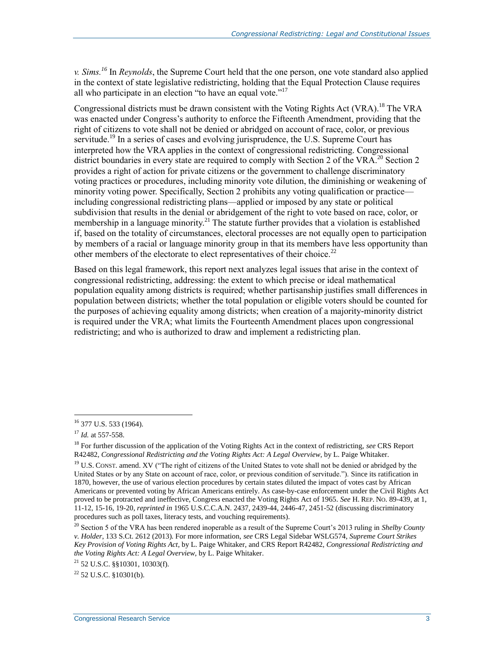*v. Sims. <sup>16</sup>* In *Reynolds*, the Supreme Court held that the one person, one vote standard also applied in the context of state legislative redistricting, holding that the Equal Protection Clause requires all who participate in an election "to have an equal vote."<sup>17</sup>

Congressional districts must be drawn consistent with the Voting Rights Act (VRA).<sup>18</sup> The VRA was enacted under Congress's authority to enforce the Fifteenth Amendment, providing that the right of citizens to vote shall not be denied or abridged on account of race, color, or previous servitude.<sup>19</sup> In a series of cases and evolving jurisprudence, the U.S. Supreme Court has interpreted how the VRA applies in the context of congressional redistricting. Congressional district boundaries in every state are required to comply with Section 2 of the VRA.<sup>20</sup> Section 2 provides a right of action for private citizens or the government to challenge discriminatory voting practices or procedures, including minority vote dilution, the diminishing or weakening of minority voting power. Specifically, Section 2 prohibits any voting qualification or practice including congressional redistricting plans—applied or imposed by any state or political subdivision that results in the denial or abridgement of the right to vote based on race, color, or membership in a language minority.<sup>21</sup> The statute further provides that a violation is established if, based on the totality of circumstances, electoral processes are not equally open to participation by members of a racial or language minority group in that its members have less opportunity than other members of the electorate to elect representatives of their choice.<sup>22</sup>

Based on this legal framework, this report next analyzes legal issues that arise in the context of congressional redistricting, addressing: the extent to which precise or ideal mathematical population equality among districts is required; whether partisanship justifies small differences in population between districts; whether the total population or eligible voters should be counted for the purposes of achieving equality among districts; when creation of a majority-minority district is required under the VRA; what limits the Fourteenth Amendment places upon congressional redistricting; and who is authorized to draw and implement a redistricting plan.

<sup>&</sup>lt;sup>16</sup> 377 U.S. 533 (1964).

<sup>17</sup> *Id.* at 557-558.

<sup>18</sup> For further discussion of the application of the Voting Rights Act in the context of redistricting, *see* CRS Report R42482, *Congressional Redistricting and the Voting Rights Act: A Legal Overview*, by L. Paige Whitaker.

 $19$  U.S. CONST. amend. XV ("The right of citizens of the United States to vote shall not be denied or abridged by the United States or by any State on account of race, color, or previous condition of servitude."). Since its ratification in 1870, however, the use of various election procedures by certain states diluted the impact of votes cast by African Americans or prevented voting by African Americans entirely. As case-by-case enforcement under the Civil Rights Act proved to be protracted and ineffective, Congress enacted the Voting Rights Act of 1965. *See* H. REP. NO. 89-439, at 1, 11-12, 15-16, 19-20, *reprinted in* 1965 U.S.C.C.A.N. 2437, 2439-44, 2446-47, 2451-52 (discussing discriminatory procedures such as poll taxes, literacy tests, and vouching requirements).

<sup>20</sup> Section 5 of the VRA has been rendered inoperable as a result of the Supreme Court's 2013 ruling in *Shelby County v. Holder*, 133 S.Ct. 2612 (2013). For more information, *see* CRS Legal Sidebar WSLG574, *Supreme Court Strikes Key Provision of Voting Rights Act*, by L. Paige Whitaker, and CRS Report R42482, *Congressional Redistricting and the Voting Rights Act: A Legal Overview*, by L. Paige Whitaker.

 $21$  52 U.S.C. §§10301, 10303(f).

 $22$  52 U.S.C. §10301(b).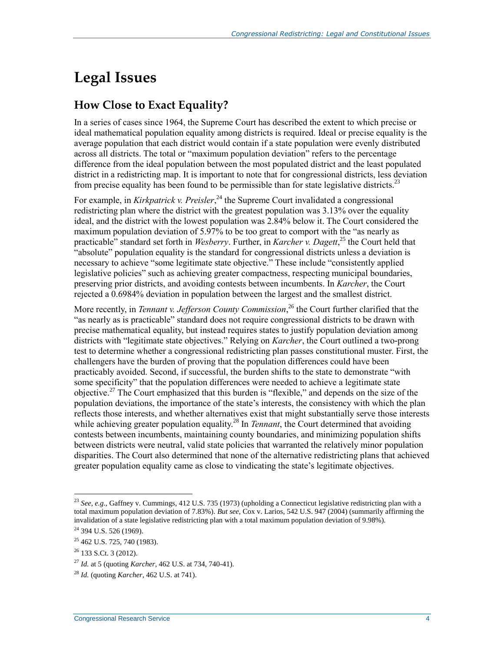# **Legal Issues**

## **How Close to Exact Equality?**

In a series of cases since 1964, the Supreme Court has described the extent to which precise or ideal mathematical population equality among districts is required. Ideal or precise equality is the average population that each district would contain if a state population were evenly distributed across all districts. The total or "maximum population deviation" refers to the percentage difference from the ideal population between the most populated district and the least populated district in a redistricting map. It is important to note that for congressional districts, less deviation from precise equality has been found to be permissible than for state legislative districts.<sup>23</sup>

For example, in *Kirkpatrick v. Preisler*,<sup>24</sup> the Supreme Court invalidated a congressional redistricting plan where the district with the greatest population was 3.13% over the equality ideal, and the district with the lowest population was 2.84% below it. The Court considered the maximum population deviation of 5.97% to be too great to comport with the "as nearly as practicable" standard set forth in *Wesberry*. Further, in *Karcher v. Dagett*, <sup>25</sup> the Court held that "absolute" population equality is the standard for congressional districts unless a deviation is necessary to achieve "some legitimate state objective." These include "consistently applied legislative policies" such as achieving greater compactness, respecting municipal boundaries, preserving prior districts, and avoiding contests between incumbents. In *Karcher*, the Court rejected a 0.6984% deviation in population between the largest and the smallest district.

More recently, in *Tennant v. Jefferson County Commission*, <sup>26</sup> the Court further clarified that the "as nearly as is practicable" standard does not require congressional districts to be drawn with precise mathematical equality, but instead requires states to justify population deviation among districts with "legitimate state objectives." Relying on *Karcher*, the Court outlined a two-prong test to determine whether a congressional redistricting plan passes constitutional muster. First, the challengers have the burden of proving that the population differences could have been practicably avoided. Second, if successful, the burden shifts to the state to demonstrate "with some specificity" that the population differences were needed to achieve a legitimate state objective.<sup>27</sup> The Court emphasized that this burden is "flexible," and depends on the size of the population deviations, the importance of the state's interests, the consistency with which the plan reflects those interests, and whether alternatives exist that might substantially serve those interests while achieving greater population equality.<sup>28</sup> In *Tennant*, the Court determined that avoiding contests between incumbents, maintaining county boundaries, and minimizing population shifts between districts were neutral, valid state policies that warranted the relatively minor population disparities. The Court also determined that none of the alternative redistricting plans that achieved greater population equality came as close to vindicating the state's legitimate objectives.

<sup>23</sup> *See, e.g.,* Gaffney v. Cummings, 412 U.S. 735 (1973) (upholding a Connecticut legislative redistricting plan with a total maximum population deviation of 7.83%). *But see*, Cox v. Larios, 542 U.S. 947 (2004) (summarily affirming the invalidation of a state legislative redistricting plan with a total maximum population deviation of 9.98%).

<sup>&</sup>lt;sup>24</sup> 394 U.S. 526 (1969).

<sup>25</sup> 462 U.S. 725, 740 (1983).

 $26$  133 S.Ct. 3 (2012).

<sup>27</sup> *Id.* at 5 (quoting *Karcher*, 462 U.S. at 734, 740-41).

<sup>28</sup> *Id.* (quoting *Karcher,* 462 U.S. at 741).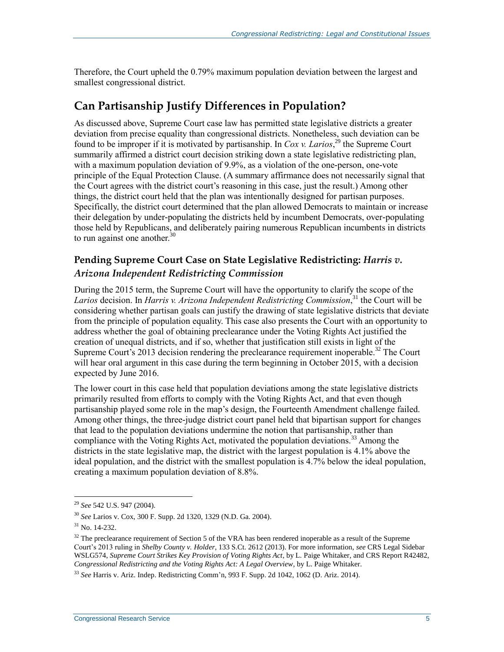Therefore, the Court upheld the 0.79% maximum population deviation between the largest and smallest congressional district.

### **Can Partisanship Justify Differences in Population?**

As discussed above, Supreme Court case law has permitted state legislative districts a greater deviation from precise equality than congressional districts. Nonetheless, such deviation can be found to be improper if it is motivated by partisanship. In *Cox v. Larios*,<sup>29</sup> the Supreme Court summarily affirmed a district court decision striking down a state legislative redistricting plan, with a maximum population deviation of 9.9%, as a violation of the one-person, one-vote principle of the Equal Protection Clause. (A summary affirmance does not necessarily signal that the Court agrees with the district court's reasoning in this case, just the result.) Among other things, the district court held that the plan was intentionally designed for partisan purposes. Specifically, the district court determined that the plan allowed Democrats to maintain or increase their delegation by under-populating the districts held by incumbent Democrats, over-populating those held by Republicans, and deliberately pairing numerous Republican incumbents in districts to run against one another. $30$ 

#### **Pending Supreme Court Case on State Legislative Redistricting:** *Harris v. Arizona Independent Redistricting Commission*

During the 2015 term, the Supreme Court will have the opportunity to clarify the scope of the *Larios* decision. In *Harris v. Arizona Independent Redistricting Commission*, <sup>31</sup> the Court will be considering whether partisan goals can justify the drawing of state legislative districts that deviate from the principle of population equality. This case also presents the Court with an opportunity to address whether the goal of obtaining preclearance under the Voting Rights Act justified the creation of unequal districts, and if so, whether that justification still exists in light of the Supreme Court's 2013 decision rendering the preclearance requirement inoperable.<sup>32</sup> The Court will hear oral argument in this case during the term beginning in October 2015, with a decision expected by June 2016.

The lower court in this case held that population deviations among the state legislative districts primarily resulted from efforts to comply with the Voting Rights Act, and that even though partisanship played some role in the map's design, the Fourteenth Amendment challenge failed. Among other things, the three-judge district court panel held that bipartisan support for changes that lead to the population deviations undermine the notion that partisanship, rather than compliance with the Voting Rights Act, motivated the population deviations.<sup>33</sup> Among the districts in the state legislative map, the district with the largest population is 4.1% above the ideal population, and the district with the smallest population is 4.7% below the ideal population, creating a maximum population deviation of 8.8%.

<sup>29</sup> *See* 542 U.S. 947 (2004).

<sup>30</sup> *See* Larios v. Cox, 300 F. Supp. 2d 1320, 1329 (N.D. Ga. 2004).

 $31$  No. 14-232.

 $32$  The preclearance requirement of Section 5 of the VRA has been rendered inoperable as a result of the Supreme Court's 2013 ruling in *Shelby County v. Holder*, 133 S.Ct. 2612 (2013). For more information, *see* CRS Legal Sidebar WSLG574, *Supreme Court Strikes Key Provision of Voting Rights Act*, by L. Paige Whitaker, and CRS Report R42482, *Congressional Redistricting and the Voting Rights Act: A Legal Overview*, by L. Paige Whitaker.

<sup>33</sup> *See* Harris v. Ariz. Indep. Redistricting Comm'n, 993 F. Supp. 2d 1042, 1062 (D. Ariz. 2014).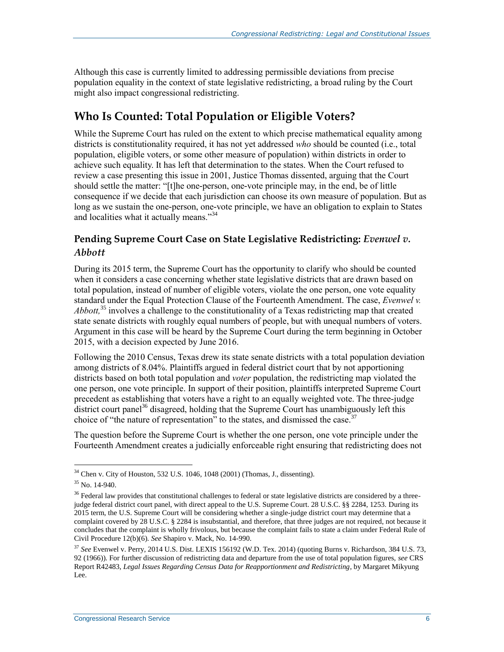Although this case is currently limited to addressing permissible deviations from precise population equality in the context of state legislative redistricting, a broad ruling by the Court might also impact congressional redistricting.

### **Who Is Counted: Total Population or Eligible Voters?**

While the Supreme Court has ruled on the extent to which precise mathematical equality among districts is constitutionality required, it has not yet addressed *who* should be counted (i.e., total population, eligible voters, or some other measure of population) within districts in order to achieve such equality. It has left that determination to the states. When the Court refused to review a case presenting this issue in 2001, Justice Thomas dissented, arguing that the Court should settle the matter: "[t]he one-person, one-vote principle may, in the end, be of little consequence if we decide that each jurisdiction can choose its own measure of population. But as long as we sustain the one-person, one-vote principle, we have an obligation to explain to States and localities what it actually means."<sup>34</sup>

#### **Pending Supreme Court Case on State Legislative Redistricting:** *Evenwel v. Abbott*

During its 2015 term, the Supreme Court has the opportunity to clarify who should be counted when it considers a case concerning whether state legislative districts that are drawn based on total population, instead of number of eligible voters, violate the one person, one vote equality standard under the Equal Protection Clause of the Fourteenth Amendment. The case, *Evenwel v. Abbott,* <sup>35</sup> involves a challenge to the constitutionality of a Texas redistricting map that created state senate districts with roughly equal numbers of people, but with unequal numbers of voters. Argument in this case will be heard by the Supreme Court during the term beginning in October 2015, with a decision expected by June 2016.

Following the 2010 Census, Texas drew its state senate districts with a total population deviation among districts of 8.04%. Plaintiffs argued in federal district court that by not apportioning districts based on both total population and *voter* population, the redistricting map violated the one person, one vote principle. In support of their position, plaintiffs interpreted Supreme Court precedent as establishing that voters have a right to an equally weighted vote. The three-judge district court panel<sup>36</sup> disagreed, holding that the Supreme Court has unambiguously left this choice of "the nature of representation" to the states, and dismissed the case.<sup>37</sup>

The question before the Supreme Court is whether the one person, one vote principle under the Fourteenth Amendment creates a judicially enforceable right ensuring that redistricting does not

 $34$  Chen v. City of Houston, 532 U.S. 1046, 1048 (2001) (Thomas, J., dissenting).

 $35$  No. 14-940.

 $36$  Federal law provides that constitutional challenges to federal or state legislative districts are considered by a threejudge federal district court panel, with direct appeal to the U.S. Supreme Court. 28 U.S.C. §§ 2284, 1253. During its 2015 term, the U.S. Supreme Court will be considering whether a single-judge district court may determine that a complaint covered by 28 U.S.C. § 2284 is insubstantial, and therefore, that three judges are not required, not because it concludes that the complaint is wholly frivolous, but because the complaint fails to state a claim under Federal Rule of Civil Procedure 12(b)(6). *See* Shapiro v. Mack, No. 14-990.

<sup>37</sup> *See* Evenwel v. Perry, 2014 U.S. Dist. LEXIS 156192 (W.D. Tex. 2014) (quoting Burns v. Richardson, 384 U.S. 73, 92 (1966)). For further discussion of redistricting data and departure from the use of total population figures, *see* CRS Report R42483, *Legal Issues Regarding Census Data for Reapportionment and Redistricting*, by Margaret Mikyung Lee.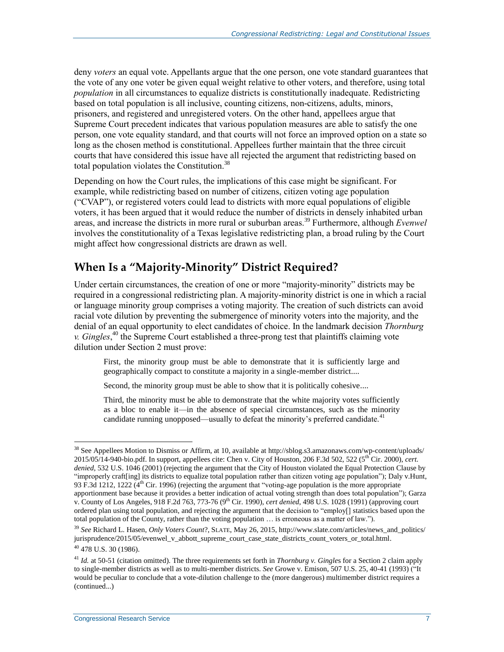deny *voters* an equal vote. Appellants argue that the one person, one vote standard guarantees that the vote of any one voter be given equal weight relative to other voters, and therefore, using total *population* in all circumstances to equalize districts is constitutionally inadequate. Redistricting based on total population is all inclusive, counting citizens, non-citizens, adults, minors, prisoners, and registered and unregistered voters. On the other hand, appellees argue that Supreme Court precedent indicates that various population measures are able to satisfy the one person, one vote equality standard, and that courts will not force an improved option on a state so long as the chosen method is constitutional. Appellees further maintain that the three circuit courts that have considered this issue have all rejected the argument that redistricting based on total population violates the Constitution.<sup>38</sup>

Depending on how the Court rules, the implications of this case might be significant. For example, while redistricting based on number of citizens, citizen voting age population ("CVAP"), or registered voters could lead to districts with more equal populations of eligible voters, it has been argued that it would reduce the number of districts in densely inhabited urban areas, and increase the districts in more rural or suburban areas.<sup>39</sup> Furthermore, although *Evenwel* involves the constitutionality of a Texas legislative redistricting plan, a broad ruling by the Court might affect how congressional districts are drawn as well.

### **When Is a "Majority-Minority" District Required?**

Under certain circumstances, the creation of one or more "majority-minority" districts may be required in a congressional redistricting plan. A majority-minority district is one in which a racial or language minority group comprises a voting majority. The creation of such districts can avoid racial vote dilution by preventing the submergence of minority voters into the majority, and the denial of an equal opportunity to elect candidates of choice. In the landmark decision *Thornburg v. Gingles*, <sup>40</sup> the Supreme Court established a three-prong test that plaintiffs claiming vote dilution under Section 2 must prove:

First, the minority group must be able to demonstrate that it is sufficiently large and geographically compact to constitute a majority in a single-member district....

Second, the minority group must be able to show that it is politically cohesive....

Third, the minority must be able to demonstrate that the white majority votes sufficiently as a bloc to enable it—in the absence of special circumstances, such as the minority candidate running unopposed—usually to defeat the minority's preferred candidate.<sup>41</sup>

<sup>&</sup>lt;sup>38</sup> See Appellees Motion to Dismiss or Affirm, at 10, available at http://sblog.s3.amazonaws.com/wp-content/uploads/ 2015/05/14-940-bio.pdf. In support, appellees cite: Chen v. City of Houston, 206 F.3d 502, 522 (5th Cir. 2000), *cert. denied,* 532 U.S. 1046 (2001) (rejecting the argument that the City of Houston violated the Equal Protection Clause by "improperly craft[ing] its districts to equalize total population rather than citizen voting age population"); Daly v.Hunt, 93 F.3d 1212, 1222 ( $4<sup>th</sup>$  Cir. 1996) (rejecting the argument that "voting-age population is the more appropriate apportionment base because it provides a better indication of actual voting strength than does total population"); Garza v. County of Los Angeles, 918 F.2d 763, 773-76 (9th Cir. 1990), *cert denied*, 498 U.S. 1028 (1991) (approving court ordered plan using total population, and rejecting the argument that the decision to "employ[] statistics based upon the total population of the County, rather than the voting population … is erroneous as a matter of law.").

<sup>39</sup> *See* Richard L. Hasen, *Only Voters Count*?, SLATE, May 26, 2015, http://www.slate.com/articles/news\_and\_politics/ jurisprudence/2015/05/evenwel\_v\_abbott\_supreme\_court\_case\_state\_districts\_count\_voters\_or\_total.html.

<sup>40</sup> 478 U.S. 30 (1986).

<sup>&</sup>lt;sup>41</sup> *Id.* at 50-51 (citation omitted). The three requirements set forth in *Thornburg v. Gingles* for a Section 2 claim apply to single-member districts as well as to multi-member districts. *See* Growe v. Emison, 507 U.S. 25, 40-41 (1993) ("It would be peculiar to conclude that a vote-dilution challenge to the (more dangerous) multimember district requires a (continued...)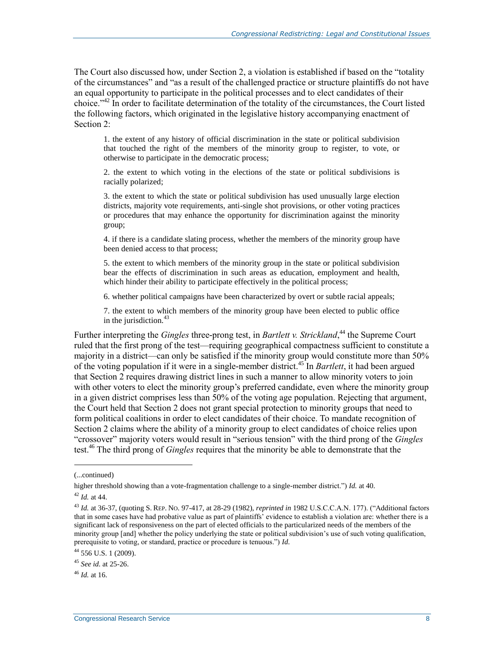The Court also discussed how, under Section 2, a violation is established if based on the "totality of the circumstances" and "as a result of the challenged practice or structure plaintiffs do not have an equal opportunity to participate in the political processes and to elect candidates of their choice."<sup>42</sup> In order to facilitate determination of the totality of the circumstances, the Court listed the following factors, which originated in the legislative history accompanying enactment of Section 2<sup>-</sup>

1. the extent of any history of official discrimination in the state or political subdivision that touched the right of the members of the minority group to register, to vote, or otherwise to participate in the democratic process;

2. the extent to which voting in the elections of the state or political subdivisions is racially polarized;

3. the extent to which the state or political subdivision has used unusually large election districts, majority vote requirements, anti-single shot provisions, or other voting practices or procedures that may enhance the opportunity for discrimination against the minority group;

4. if there is a candidate slating process, whether the members of the minority group have been denied access to that process;

5. the extent to which members of the minority group in the state or political subdivision bear the effects of discrimination in such areas as education, employment and health, which hinder their ability to participate effectively in the political process;

6. whether political campaigns have been characterized by overt or subtle racial appeals;

7. the extent to which members of the minority group have been elected to public office in the jurisdiction. $43$ 

Further interpreting the *Gingles* three-prong test, in *Bartlett v. Strickland*, <sup>44</sup> the Supreme Court ruled that the first prong of the test—requiring geographical compactness sufficient to constitute a majority in a district—can only be satisfied if the minority group would constitute more than 50% of the voting population if it were in a single-member district.<sup>45</sup> In *Bartlett*, it had been argued that Section 2 requires drawing district lines in such a manner to allow minority voters to join with other voters to elect the minority group's preferred candidate, even where the minority group in a given district comprises less than 50% of the voting age population. Rejecting that argument, the Court held that Section 2 does not grant special protection to minority groups that need to form political coalitions in order to elect candidates of their choice. To mandate recognition of Section 2 claims where the ability of a minority group to elect candidates of choice relies upon "crossover" majority voters would result in "serious tension" with the third prong of the *Gingles* test. <sup>46</sup> The third prong of *Gingles* requires that the minority be able to demonstrate that the

l

<sup>(...</sup>continued)

higher threshold showing than a vote-fragmentation challenge to a single-member district.") *Id.* at 40.

<sup>42</sup> *Id.* at 44.

<sup>43</sup> *Id.* at 36-37, (quoting S. REP. NO. 97-417, at 28-29 (1982), *reprinted in* 1982 U.S.C.C.A.N. 177). ("Additional factors that in some cases have had probative value as part of plaintiffs' evidence to establish a violation are: whether there is a significant lack of responsiveness on the part of elected officials to the particularized needs of the members of the minority group [and] whether the policy underlying the state or political subdivision's use of such voting qualification, prerequisite to voting, or standard, practice or procedure is tenuous.") *Id.*

<sup>44</sup> 556 U.S. 1 (2009).

<sup>45</sup> *See id.* at 25-26.

 $46$  *Id.* at 16.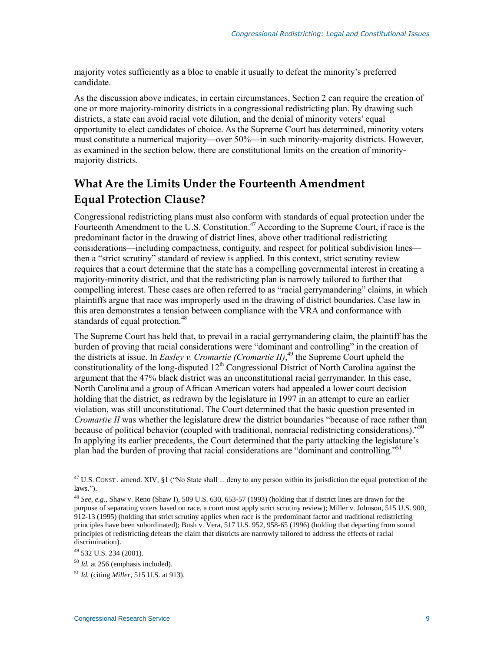majority votes sufficiently as a bloc to enable it usually to defeat the minority's preferred candidate.

As the discussion above indicates, in certain circumstances, Section 2 can require the creation of one or more majority-minority districts in a congressional redistricting plan. By drawing such districts, a state can avoid racial vote dilution, and the denial of minority voters' equal opportunity to elect candidates of choice. As the Supreme Court has determined, minority voters must constitute a numerical majority—over 50%—in such minority-majority districts. However, as examined in the section below, there are constitutional limits on the creation of minoritymajority districts.

## **What Are the Limits Under the Fourteenth Amendment Equal Protection Clause?**

Congressional redistricting plans must also conform with standards of equal protection under the Fourteenth Amendment to the U.S. Constitution.<sup>47</sup> According to the Supreme Court, if race is the predominant factor in the drawing of district lines, above other traditional redistricting considerations—including compactness, contiguity, and respect for political subdivision lines then a "strict scrutiny" standard of review is applied. In this context, strict scrutiny review requires that a court determine that the state has a compelling governmental interest in creating a majority-minority district, and that the redistricting plan is narrowly tailored to further that compelling interest. These cases are often referred to as "racial gerrymandering" claims, in which plaintiffs argue that race was improperly used in the drawing of district boundaries. Case law in this area demonstrates a tension between compliance with the VRA and conformance with standards of equal protection.<sup>48</sup>

The Supreme Court has held that, to prevail in a racial gerrymandering claim, the plaintiff has the burden of proving that racial considerations were "dominant and controlling" in the creation of the districts at issue. In *Easley v. Cromartie (Cromartie II)*, <sup>49</sup> the Supreme Court upheld the constitutionality of the long-disputed  $12<sup>th</sup>$  Congressional District of North Carolina against the argument that the 47% black district was an unconstitutional racial gerrymander. In this case, North Carolina and a group of African American voters had appealed a lower court decision holding that the district, as redrawn by the legislature in 1997 in an attempt to cure an earlier violation, was still unconstitutional. The Court determined that the basic question presented in *Cromartie II* was whether the legislature drew the district boundaries "because of race rather than because of political behavior (coupled with traditional, nonracial redistricting considerations)."<sup>50</sup> In applying its earlier precedents, the Court determined that the party attacking the legislature's plan had the burden of proving that racial considerations are "dominant and controlling."<sup>51</sup>

 $\overline{a}$ <sup>47</sup> U.S. CONST . amend. XIV, §1 ("No State shall ... deny to any person within its jurisdiction the equal protection of the laws.").

<sup>48</sup> *See, e.g.,* Shaw v. Reno (Shaw I), 509 U.S. 630, 653-57 (1993) (holding that if district lines are drawn for the purpose of separating voters based on race, a court must apply strict scrutiny review); Miller v. Johnson, 515 U.S. 900, 912-13 (1995) (holding that strict scrutiny applies when race is the predominant factor and traditional redistricting principles have been subordinated); Bush v. Vera, 517 U.S. 952, 958-65 (1996) (holding that departing from sound principles of redistricting defeats the claim that districts are narrowly tailored to address the effects of racial discrimination).

<sup>49</sup> 532 U.S. 234 (2001).

<sup>50</sup> *Id.* at 256 (emphasis included).

<sup>51</sup> *Id.* (citing *Miller,* 515 U.S. at 913).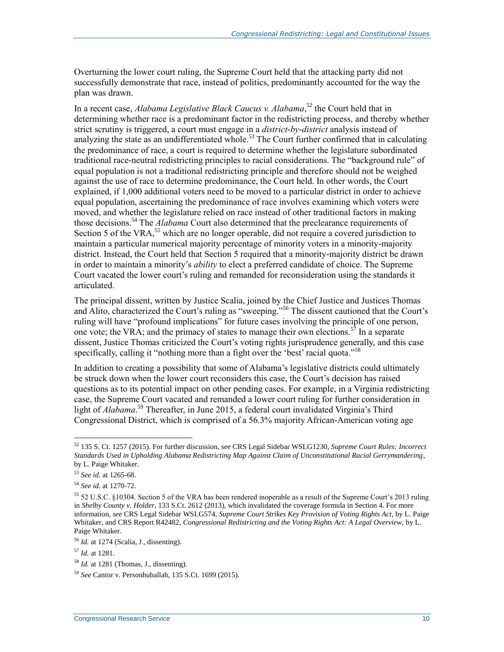Overturning the lower court ruling, the Supreme Court held that the attacking party did not successfully demonstrate that race, instead of politics, predominantly accounted for the way the plan was drawn.

In a recent case, *Alabama Legislative Black Caucus v. Alabama*, <sup>52</sup> the Court held that in determining whether race is a predominant factor in the redistricting process, and thereby whether strict scrutiny is triggered, a court must engage in a *district-by-district* analysis instead of analyzing the state as an undifferentiated whole.<sup>53</sup> The Court further confirmed that in calculating the predominance of race, a court is required to determine whether the legislature subordinated traditional race-neutral redistricting principles to racial considerations. The "background rule" of equal population is not a traditional redistricting principle and therefore should not be weighed against the use of race to determine predominance, the Court held. In other words, the Court explained, if 1,000 additional voters need to be moved to a particular district in order to achieve equal population, ascertaining the predominance of race involves examining which voters were moved, and whether the legislature relied on race instead of other traditional factors in making those decisions.<sup>54</sup> The *Alabama* Court also determined that the preclearance requirements of Section 5 of the VRA,<sup>55</sup> which are no longer operable, did not require a covered jurisdiction to maintain a particular numerical majority percentage of minority voters in a minority-majority district. Instead, the Court held that Section 5 required that a minority-majority district be drawn in order to maintain a minority's *ability* to elect a preferred candidate of choice. The Supreme Court vacated the lower court's ruling and remanded for reconsideration using the standards it articulated.

The principal dissent, written by Justice Scalia, joined by the Chief Justice and Justices Thomas and Alito, characterized the Court's ruling as "sweeping."<sup>56</sup> The dissent cautioned that the Court's ruling will have "profound implications" for future cases involving the principle of one person, one vote; the VRA; and the primacy of states to manage their own elections.<sup>57</sup> In a separate dissent, Justice Thomas criticized the Court's voting rights jurisprudence generally, and this case specifically, calling it "nothing more than a fight over the 'best' racial quota."<sup>58</sup>

In addition to creating a possibility that some of Alabama's legislative districts could ultimately be struck down when the lower court reconsiders this case, the Court's decision has raised questions as to its potential impact on other pending cases. For example, in a Virginia redistricting case, the Supreme Court vacated and remanded a lower court ruling for further consideration in light of *Alabama*. <sup>59</sup> Thereafter, in June 2015, a federal court invalidated Virginia's Third Congressional District, which is comprised of a 56.3% majority African-American voting age

<sup>52</sup> 135 S. Ct. 1257 (2015). For further discussion, see CRS Legal Sidebar WSLG1230, *Supreme Court Rules: Incorrect Standards Used in Upholding Alabama Redistricting Map Against Claim of Unconstitutional Racial Gerrymandering*, by L. Paige Whitaker.

<sup>53</sup> *See id.* at 1265-68.

<sup>54</sup> *See id.* at 1270-72.

<sup>55</sup> 52 U.S.C. §10304. Section 5 of the VRA has been rendered inoperable as a result of the Supreme Court's 2013 ruling in *Shelby County v. Holder*, 133 S.Ct. 2612 (2013), which invalidated the coverage formula in Section 4. For more information, *see* CRS Legal Sidebar WSLG574, *Supreme Court Strikes Key Provision of Voting Rights Act*, by L. Paige Whitaker, and CRS Report R42482, *Congressional Redistricting and the Voting Rights Act: A Legal Overview*, by L. Paige Whitaker.

<sup>56</sup> *Id.* at 1274 (Scalia, J., dissenting).

<sup>57</sup> *Id.* at 1281.

<sup>58</sup> *Id.* at 1281 (Thomas, J., dissenting).

<sup>59</sup> *See* Cantor v. Personhuballah, 135 S.Ct. 1699 (2015).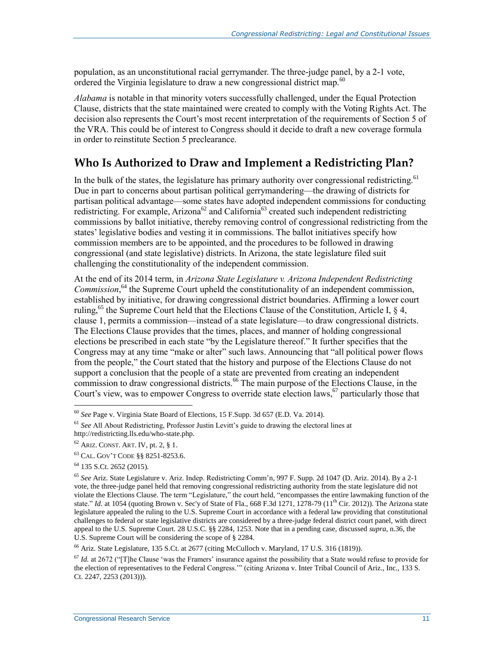population, as an unconstitutional racial gerrymander. The three-judge panel, by a 2-1 vote, ordered the Virginia legislature to draw a new congressional district map.<sup>60</sup>

*Alabama* is notable in that minority voters successfully challenged, under the Equal Protection Clause, districts that the state maintained were created to comply with the Voting Rights Act. The decision also represents the Court's most recent interpretation of the requirements of Section 5 of the VRA. This could be of interest to Congress should it decide to draft a new coverage formula in order to reinstitute Section 5 preclearance.

### **Who Is Authorized to Draw and Implement a Redistricting Plan?**

In the bulk of the states, the legislature has primary authority over congressional redistricting.<sup>61</sup> Due in part to concerns about partisan political gerrymandering—the drawing of districts for partisan political advantage—some states have adopted independent commissions for conducting redistricting. For example, Arizona<sup>62</sup> and California<sup>63</sup> created such independent redistricting commissions by ballot initiative, thereby removing control of congressional redistricting from the states' legislative bodies and vesting it in commissions. The ballot initiatives specify how commission members are to be appointed, and the procedures to be followed in drawing congressional (and state legislative) districts. In Arizona, the state legislature filed suit challenging the constitutionality of the independent commission.

At the end of its 2014 term, in *Arizona State Legislature v. Arizona Independent Redistricting*  Commission,<sup>64</sup> the Supreme Court upheld the constitutionality of an independent commission, established by initiative, for drawing congressional district boundaries. Affirming a lower court ruling, <sup>65</sup> the Supreme Court held that the Elections Clause of the Constitution, Article I,  $\S$  4, clause 1, permits a commission—instead of a state legislature—to draw congressional districts. The Elections Clause provides that the times, places, and manner of holding congressional elections be prescribed in each state "by the Legislature thereof." It further specifies that the Congress may at any time "make or alter" such laws. Announcing that "all political power flows from the people," the Court stated that the history and purpose of the Elections Clause do not support a conclusion that the people of a state are prevented from creating an independent commission to draw congressional districts.<sup>66</sup> The main purpose of the Elections Clause, in the Court's view, was to empower Congress to override state election laws,  $\sigma$  particularly those that

 $\overline{a}$ 

 $^{66}$  Ariz. State Legislature, 135 S.Ct. at 2677 (citing McCulloch v. Maryland, 17 U.S. 316 (1819)).

<sup>60</sup> *See* Page v. Virginia State Board of Elections, 15 F.Supp. 3d 657 (E.D. Va. 2014).

<sup>61</sup> *See* All About Redistricting, Professor Justin Levitt's guide to drawing the electoral lines at http://redistricting.lls.edu/who-state.php.

<sup>62</sup> ARIZ. CONST. ART. IV, pt. 2, § 1.

<sup>63</sup> CAL. GOV'T CODE §§ 8251-8253.6.

<sup>64</sup> 135 S.Ct. 2652 (2015).

<sup>65</sup> *See* Ariz. State Legislature v. Ariz. Indep. Redistricting Comm'n, 997 F. Supp. 2d 1047 (D. Ariz. 2014). By a 2-1 vote, the three-judge panel held that removing congressional redistricting authority from the state legislature did not violate the Elections Clause. The term "Legislature," the court held, "encompasses the entire lawmaking function of the state." *Id.* at 1054 (quoting Brown v. Sec'y of State of Fla., 668 F.3d 1271, 1278-79 ( $11<sup>th</sup>$  Cir. 2012)). The Arizona state legislature appealed the ruling to the U.S. Supreme Court in accordance with a federal law providing that constitutional challenges to federal or state legislative districts are considered by a three-judge federal district court panel, with direct appeal to the U.S. Supreme Court. 28 U.S.C. §§ 2284, 1253. Note that in a pending case, discussed *supra*, n.36, the U.S. Supreme Court will be considering the scope of § 2284.

<sup>67</sup> *Id.* at 2672 ("[T]he Clause 'was the Framers' insurance against the possibility that a State would refuse to provide for the election of representatives to the Federal Congress.'" (citing Arizona v. Inter Tribal Council of Ariz., Inc., 133 S. Ct. 2247, 2253 (2013))).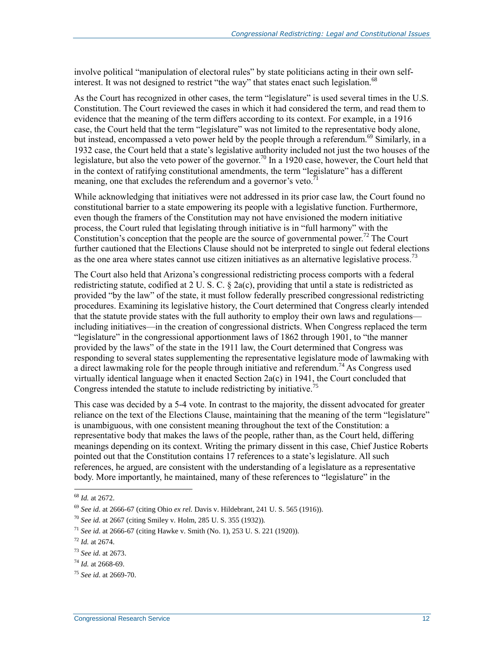involve political "manipulation of electoral rules" by state politicians acting in their own selfinterest. It was not designed to restrict "the way" that states enact such legislation.<sup>68</sup>

As the Court has recognized in other cases, the term "legislature" is used several times in the U.S. Constitution. The Court reviewed the cases in which it had considered the term, and read them to evidence that the meaning of the term differs according to its context. For example, in a 1916 case, the Court held that the term "legislature" was not limited to the representative body alone, but instead, encompassed a veto power held by the people through a referendum.<sup>69</sup> Similarly, in a 1932 case, the Court held that a state's legislative authority included not just the two houses of the legislature, but also the veto power of the governor.<sup>70</sup> In a 1920 case, however, the Court held that in the context of ratifying constitutional amendments, the term "legislature" has a different meaning, one that excludes the referendum and a governor's veto.<sup>7</sup>

While acknowledging that initiatives were not addressed in its prior case law, the Court found no constitutional barrier to a state empowering its people with a legislative function. Furthermore, even though the framers of the Constitution may not have envisioned the modern initiative process, the Court ruled that legislating through initiative is in "full harmony" with the Constitution's conception that the people are the source of governmental power.<sup>72</sup> The Court further cautioned that the Elections Clause should not be interpreted to single out federal elections as the one area where states cannot use citizen initiatives as an alternative legislative process.<sup>73</sup>

The Court also held that Arizona's congressional redistricting process comports with a federal redistricting statute, codified at 2 U. S. C.  $\S$  2a(c), providing that until a state is redistricted as provided "by the law" of the state, it must follow federally prescribed congressional redistricting procedures. Examining its legislative history, the Court determined that Congress clearly intended that the statute provide states with the full authority to employ their own laws and regulations including initiatives—in the creation of congressional districts. When Congress replaced the term "legislature" in the congressional apportionment laws of 1862 through 1901, to "the manner provided by the laws" of the state in the 1911 law, the Court determined that Congress was responding to several states supplementing the representative legislature mode of lawmaking with a direct lawmaking role for the people through initiative and referendum.<sup>74</sup> As Congress used virtually identical language when it enacted Section 2a(c) in 1941, the Court concluded that Congress intended the statute to include redistricting by initiative.<sup>75</sup>

This case was decided by a 5-4 vote. In contrast to the majority, the dissent advocated for greater reliance on the text of the Elections Clause, maintaining that the meaning of the term "legislature" is unambiguous, with one consistent meaning throughout the text of the Constitution: a representative body that makes the laws of the people, rather than, as the Court held, differing meanings depending on its context. Writing the primary dissent in this case, Chief Justice Roberts pointed out that the Constitution contains 17 references to a state's legislature. All such references, he argued, are consistent with the understanding of a legislature as a representative body. More importantly, he maintained, many of these references to "legislature" in the

<sup>68</sup> *Id.* at 2672.

<sup>69</sup> *See id.* at 2666-67 (citing Ohio *ex rel.* Davis v. Hildebrant, 241 U. S. 565 (1916)).

<sup>70</sup> *See id.* at 2667 (citing Smiley v. Holm, 285 U. S. 355 (1932)).

<sup>71</sup> *See id.* at 2666-67 (citing Hawke v. Smith (No. 1), 253 U. S. 221 (1920)).

<sup>72</sup> *Id.* at 2674.

<sup>73</sup> *See id.* at 2673.

<sup>74</sup> *Id.* at 2668-69.

<sup>75</sup> *See id.* at 2669-70.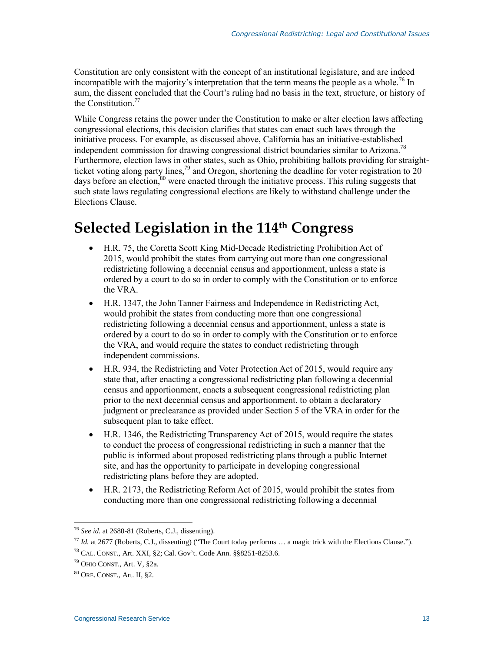Constitution are only consistent with the concept of an institutional legislature, and are indeed incompatible with the majority's interpretation that the term means the people as a whole.<sup>76</sup> In sum, the dissent concluded that the Court's ruling had no basis in the text, structure, or history of the Constitution.<sup>77</sup>

While Congress retains the power under the Constitution to make or alter election laws affecting congressional elections, this decision clarifies that states can enact such laws through the initiative process. For example, as discussed above, California has an initiative-established independent commission for drawing congressional district boundaries similar to Arizona.<sup>78</sup> Furthermore, election laws in other states, such as Ohio, prohibiting ballots providing for straightticket voting along party lines,<sup>79</sup> and Oregon, shortening the deadline for voter registration to 20 days before an election,<sup>80</sup> were enacted through the initiative process. This ruling suggests that such state laws regulating congressional elections are likely to withstand challenge under the Elections Clause.

# **Selected Legislation in the 114th Congress**

- H.R. 75, the Coretta Scott King Mid-Decade Redistricting Prohibition Act of 2015, would prohibit the states from carrying out more than one congressional redistricting following a decennial census and apportionment, unless a state is ordered by a court to do so in order to comply with the Constitution or to enforce the VRA.
- H.R. 1347, the John Tanner Fairness and Independence in Redistricting Act, would prohibit the states from conducting more than one congressional redistricting following a decennial census and apportionment, unless a state is ordered by a court to do so in order to comply with the Constitution or to enforce the VRA, and would require the states to conduct redistricting through independent commissions.
- H.R. 934, the Redistricting and Voter Protection Act of 2015, would require any state that, after enacting a congressional redistricting plan following a decennial census and apportionment, enacts a subsequent congressional redistricting plan prior to the next decennial census and apportionment, to obtain a declaratory judgment or preclearance as provided under Section 5 of the VRA in order for the subsequent plan to take effect.
- H.R. 1346, the Redistricting Transparency Act of 2015, would require the states to conduct the process of congressional redistricting in such a manner that the public is informed about proposed redistricting plans through a public Internet site, and has the opportunity to participate in developing congressional redistricting plans before they are adopted.
- H.R. 2173, the Redistricting Reform Act of 2015, would prohibit the states from conducting more than one congressional redistricting following a decennial

<sup>76</sup> *See id.* at 2680-81 (Roberts, C.J., dissenting).

<sup>77</sup> *Id.* at 2677 (Roberts, C.J., dissenting) ("The Court today performs … a magic trick with the Elections Clause.").

<sup>78</sup> CAL. CONST., Art. XXI, §2; Cal. Gov't. Code Ann. §§8251-8253.6.

<sup>79</sup> OHIO CONST., Art. V, §2a.

<sup>80</sup> ORE. CONST., Art. II, §2.